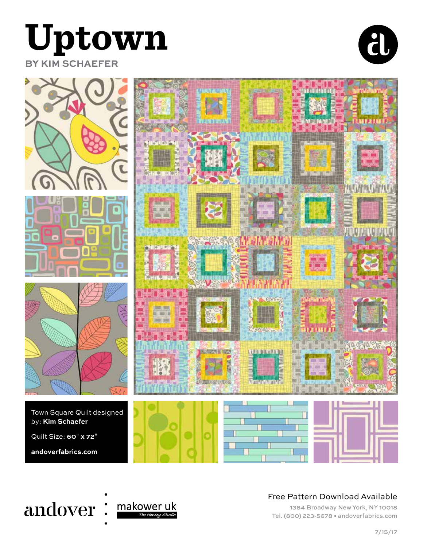

**BY KIM SCHAEFER**









#### Free Pattern Download Available

1384 Broadway New York, NY 10018 Tel. (800) 223-5678 • andoverfabrics.com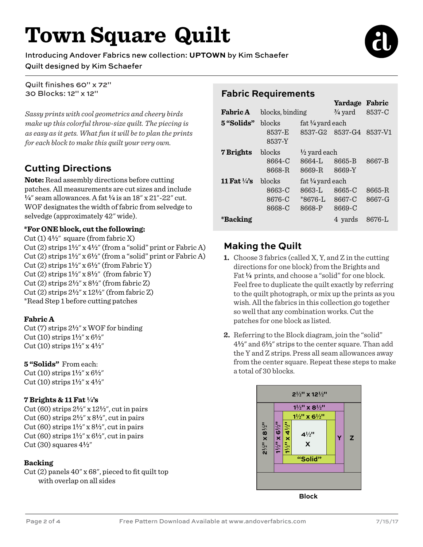# **Town Square Quilt**

Introducing Andover Fabrics new collection: **UPTOWN** by Kim Schaefer Quilt designed by Kim Schaefer

Quilt finishes 60" x 72" 30 Blocks: 12" x 12"

*Sassy prints with cool geometrics and cheery birds make up this colorful throw-size quilt. The piecing is as easy as it gets. What fun it will be to plan the prints for each block to make this quilt your very own.*

# **Cutting Directions**

**Note:** Read assembly directions before cutting patches. All measurements are cut sizes and include **4**" seam allowances. A fat **4** is an 18" x 21"-22" cut. WOF designates the width of fabric from selvedge to selvedge (approximately 42" wide).

#### **\*For ONE block, cut the following:**

Cut  $(1)$  4<sup>1</sup>/<sub>2</sub>" square (from fabric X) Cut (2) strips 1**2**" x 4**2**" (from a "solid" print or Fabric A) Cut  $(2)$  strips  $1\frac{1}{2}$ " x  $6\frac{1}{2}$ " (from a "solid" print or Fabric A) Cut (2) strips  $1\frac{1}{2}$ " x  $6\frac{1}{2}$ " (from Fabric Y) Cut  $(2)$  strips  $1\frac{1}{2}$ " x  $8\frac{1}{2}$ " (from fabric Y) Cut (2) strips 2**2**" x 8**2**" (from fabric Z) Cut (2) strips 2**2**" x 12**2**" (from fabric Z) \*Read Step 1 before cutting patches

#### **Fabric A**

Cut (7) strips 2**2**" x WOF for binding Cut (10) strips 1**2**" x 6**2**" Cut (10) strips 1**2**" x 4**2**"

#### **5 "Solids"** From each:

Cut (10) strips 1**2**" x 6**2**" Cut (10) strips 1**2**" x 4**2**"

#### **7 Brights & 11 Fat 4's**

Cut (60) strips 2**2**" x 12**2**", cut in pairs Cut (60) strips 2**2**" x 8**2**", cut in pairs Cut (60) strips 1**2**" x 8**2**", cut in pairs Cut (60) strips  $1\frac{1}{2}$ " x  $6\frac{1}{2}$ ", cut in pairs Cut (30) squares  $4\frac{1}{2}$ "

#### **Backing**

Cut (2) panels 40" x 68", pieced to fit quilt top with overlap on all sides

# **Fabric Requirements**

|                         |                  |                                                   | Yardage                 | Fabric  |  |
|-------------------------|------------------|---------------------------------------------------|-------------------------|---------|--|
| <b>Fabric A</b>         | blocks, binding  |                                                   | $\frac{3}{4}$ yard      | 8537-C  |  |
| 5"Solids"               | blocks           | fat $\frac{1}{4}$ yard each<br>8537-G2<br>8537-G4 |                         |         |  |
|                         | 8537-E<br>8537-Y |                                                   |                         | 8537-V1 |  |
| 7 Brights               | blocks           |                                                   | $\frac{1}{2}$ yard each |         |  |
|                         | 8664-C           | 8664-L                                            | 8665-B                  | 8667-B  |  |
|                         | 8668-R           | 8669-R                                            | 8669-Y                  |         |  |
| 11 Fat $\frac{1}{4}$ 's | blocks           |                                                   | fat ¼ yard each         |         |  |
|                         | 8663-C           | 8663-L                                            | 8665-C                  | 8665-R  |  |
|                         | 8676-C           | $*8676-L$                                         | 8667-C                  | 8667-G  |  |
|                         | 8668-C           | 8668-P                                            | 8669-C                  |         |  |
| *Backing                |                  |                                                   | 4 vards                 | 8676-L  |  |

# **Making the Quilt**

- **1.** Choose 3 fabrics (called X, Y, and Z in the cutting directions for one block) from the Brights and Fat **4** prints, and choose a "solid" for one block. Feel free to duplicate the quilt exactly by referring to the quilt photograph, or mix up the prints as you wish. All the fabrics in this collection go together so well that any combination works. Cut the patches for one block as listed.
- **2.** Referring to the Block diagram, join the "solid" 4**2**" and 6**2**" strips to the center square. Than add the Y and Z strips. Press all seam allowances away from the center square. Repeat these steps to make a total of 30 blocks.



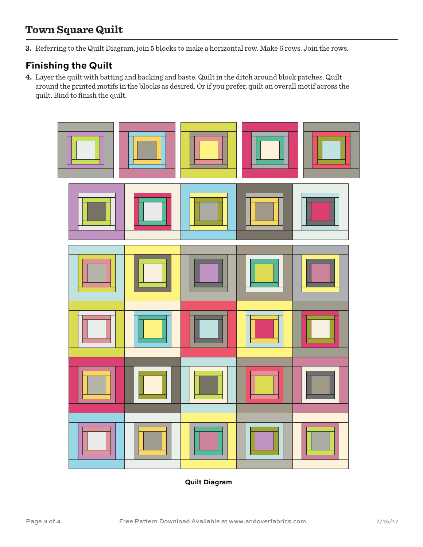# **Town Square Quilt**

**3.** Referring to the Quilt Diagram, join 5 blocks to make a horizontal row. Make 6 rows. Join the rows.

## **Finishing the Quilt**

**4.** Layer the quilt with batting and backing and baste. Quilt in the ditch around block patches. Quilt around the printed motifs in the blocks as desired. Or if you prefer, quilt an overall motif across the quilt. Bind to finish the quilt.



**Quilt Diagram**